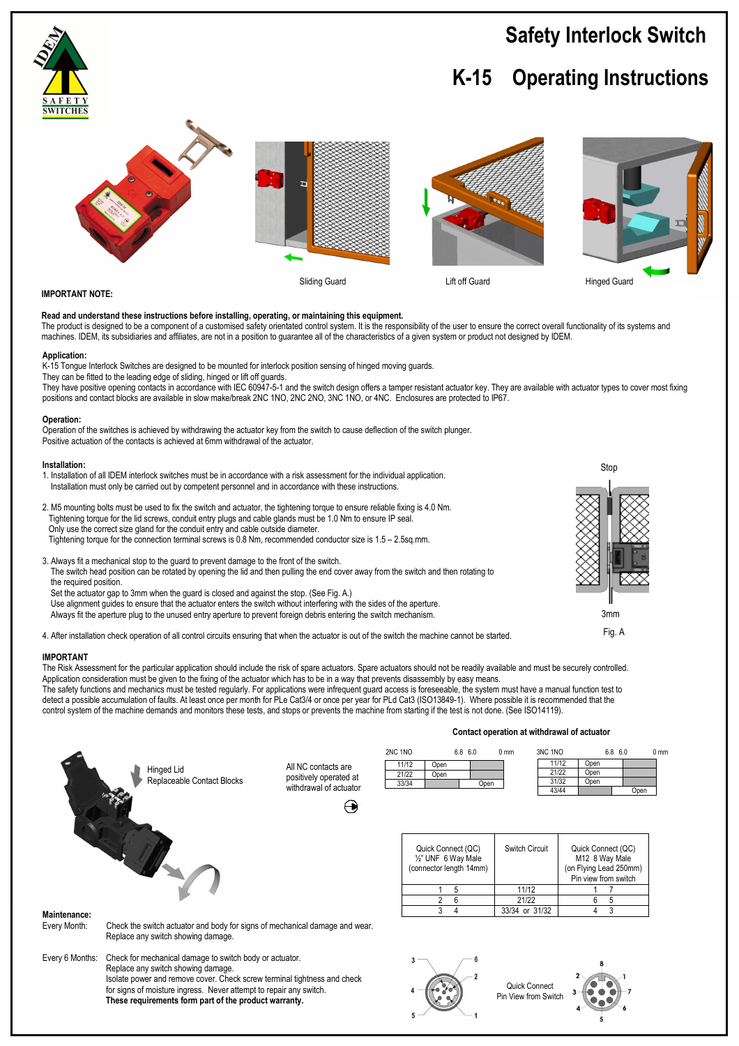# **Safety Interlock Switch**

# **K-15 Operating Instructions**



# **IMPORTANT NOTE:**

## **Read and understand these instructions before installing, operating, or maintaining this equipment.**

The product is designed to be a component of a customised safety orientated control system. It is the responsibility of the user to ensure the correct overall functionality of its systems and machines. IDEM, its subsidiaries and affiliates, are not in a position to guarantee all of the characteristics of a given system or product not designed by IDEM.

#### **Application:**

K-15 Tongue Interlock Switches are designed to be mounted for interlock position sensing of hinged moving guards. They can be fitted to the leading edge of sliding, hinged or lift off guards.

They have positive opening contacts in accordance with IEC 60947-5-1 and the switch design offers a tamper resistant actuator key. They are available with actuator types to cover most fixing positions and contact blocks are available in slow make/break 2NC 1NO, 2NC 2NO, 3NC 1NO, or 4NC. Enclosures are protected to IP67.

#### **Operation:**

Operation of the switches is achieved by withdrawing the actuator key from the switch to cause deflection of the switch plunger. Positive actuation of the contacts is achieved at 6mm withdrawal of the actuator.

#### **Installation:**

- 1. Installation of all IDEM interlock switches must be in accordance with a risk assessment for the individual application. Installation must only be carried out by competent personnel and in accordance with these instructions.
- 2. M5 mounting bolts must be used to fix the switch and actuator, the tightening torque to ensure reliable fixing is 4.0 Nm. Tightening torque for the lid screws, conduit entry plugs and cable glands must be 1.0 Nm to ensure IP seal. Only use the correct size gland for the conduit entry and cable outside diameter. Tightening torque for the connection terminal screws is 0.8 Nm, recommended conductor size is 1.5 – 2.5sq.mm.
- 3. Always fit a mechanical stop to the guard to prevent damage to the front of the switch. The switch head position can be rotated by opening the lid and then pulling the end cover away from the switch and then rotating to the required position. Set the actuator gap to 3mm when the guard is closed and against the stop. (See Fig. A.)
	- Use alignment guides to ensure that the actuator enters the switch without interfering with the sides of the aperture. Always fit the aperture plug to the unused entry aperture to prevent foreign debris entering the switch mechanism.

 **These requirements form part of the product warranty.**

4. After installation check operation of all control circuits ensuring that when the actuator is out of the switch the machine cannot be started.

### **IMPORTANT**

The Risk Assessment for the particular application should include the risk of spare actuators. Spare actuators should not be readily available and must be securely controlled. Application consideration must be given to the fixing of the actuator which has to be in a way that prevents disassembly by easy means.

The safety functions and mechanics must be tested regularly. For applications were infrequent guard access is foreseeable, the system must have a manual function test to detect a possible accumulation of faults. At least once per month for PLe Cat3/4 or once per year for PLd Cat3 (ISO13849-1). Where possible it is recommended that the control system of the machine demands and monitors these tests, and stops or prevents the machine from starting if the test is not done. (See ISO14119).

### **Contact operation at withdrawal of actuator**

Pin View from Switch

|                 | Hinged Lid<br>Replaceable Contact Blocks                                                                                                                                                                                                        | All NC contacts are<br>positively operated at<br>withdrawal of actuator<br>↔ | 2NC 1NO | 11/12<br>Open<br>21/22<br>Open<br>33/34                              | 6.8 6.0<br>Open | 0 <sub>mm</sub> | 3NC 1NO<br>11/12<br>21/22<br>31/32<br>43/44 | Open<br>Open<br>Open                                                                   | 6.8 6.0<br>Open | 0 <sub>mm</sub> |
|-----------------|-------------------------------------------------------------------------------------------------------------------------------------------------------------------------------------------------------------------------------------------------|------------------------------------------------------------------------------|---------|----------------------------------------------------------------------|-----------------|-----------------|---------------------------------------------|----------------------------------------------------------------------------------------|-----------------|-----------------|
|                 |                                                                                                                                                                                                                                                 |                                                                              |         | Quick Connect (QC)<br>1/2" UNF 6 Way Male<br>(connector length 14mm) |                 | Switch Circuit  |                                             | Quick Connect (QC)<br>M12 8 Way Male<br>(on Flying Lead 250mm)<br>Pin view from switch |                 |                 |
|                 |                                                                                                                                                                                                                                                 |                                                                              |         | 5<br>2<br>6                                                          |                 | 11/12<br>21/22  |                                             | 6<br>5                                                                                 |                 |                 |
| Maintenance:    |                                                                                                                                                                                                                                                 |                                                                              |         | 3                                                                    | 4               | 33/34 or 31/32  |                                             | 4                                                                                      | 3               |                 |
| Every Month:    | Check the switch actuator and body for signs of mechanical damage and wear.<br>Replace any switch showing damage.                                                                                                                               |                                                                              |         |                                                                      |                 |                 |                                             |                                                                                        |                 |                 |
| Every 6 Months: | Check for mechanical damage to switch body or actuator.<br>Replace any switch showing damage.<br>Isolate power and remove cover. Check screw terminal tightness and check<br>for signs of moisture ingress. Never attempt to repair any switch. |                                                                              |         |                                                                      |                 | Quick Connect   |                                             |                                                                                        |                 |                 |



Fig. A